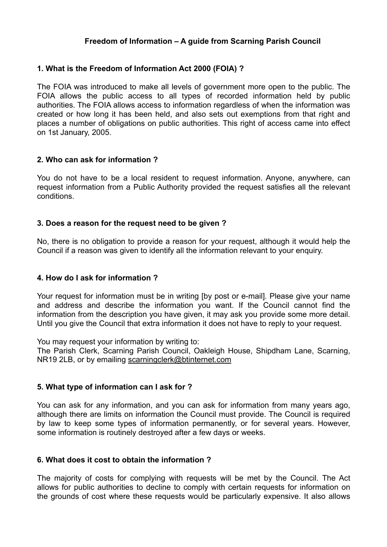# **Freedom of Information – A guide from Scarning Parish Council**

### **1. What is the Freedom of Information Act 2000 (FOIA) ?**

The FOIA was introduced to make all levels of government more open to the public. The FOIA allows the public access to all types of recorded information held by public authorities. The FOIA allows access to information regardless of when the information was created or how long it has been held, and also sets out exemptions from that right and places a number of obligations on public authorities. This right of access came into effect on 1st January, 2005.

#### **2. Who can ask for information ?**

You do not have to be a local resident to request information. Anyone, anywhere, can request information from a Public Authority provided the request satisfies all the relevant conditions.

### **3. Does a reason for the request need to be given ?**

No, there is no obligation to provide a reason for your request, although it would help the Council if a reason was given to identify all the information relevant to your enquiry.

#### **4. How do I ask for information ?**

Your request for information must be in writing [by post or e-mail]. Please give your name and address and describe the information you want. If the Council cannot find the information from the description you have given, it may ask you provide some more detail. Until you give the Council that extra information it does not have to reply to your request.

You may request your information by writing to:

The Parish Clerk, Scarning Parish Council, Oakleigh House, Shipdham Lane, Scarning, NR19 2LB, or by emailing [scarningclerk@btinternet.com](mailto:scarningclerk@btinternet.com)

#### **5. What type of information can I ask for ?**

You can ask for any information, and you can ask for information from many years ago, although there are limits on information the Council must provide. The Council is required by law to keep some types of information permanently, or for several years. However, some information is routinely destroyed after a few days or weeks.

#### **6. What does it cost to obtain the information ?**

The majority of costs for complying with requests will be met by the Council. The Act allows for public authorities to decline to comply with certain requests for information on the grounds of cost where these requests would be particularly expensive. It also allows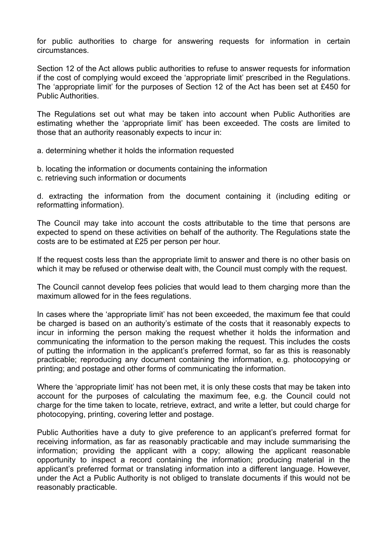for public authorities to charge for answering requests for information in certain circumstances.

Section 12 of the Act allows public authorities to refuse to answer requests for information if the cost of complying would exceed the 'appropriate limit' prescribed in the Regulations. The 'appropriate limit' for the purposes of Section 12 of the Act has been set at £450 for Public Authorities.

The Regulations set out what may be taken into account when Public Authorities are estimating whether the 'appropriate limit' has been exceeded. The costs are limited to those that an authority reasonably expects to incur in:

- a. determining whether it holds the information requested
- b. locating the information or documents containing the information
- c. retrieving such information or documents

d. extracting the information from the document containing it (including editing or reformatting information).

The Council may take into account the costs attributable to the time that persons are expected to spend on these activities on behalf of the authority. The Regulations state the costs are to be estimated at £25 per person per hour.

If the request costs less than the appropriate limit to answer and there is no other basis on which it may be refused or otherwise dealt with, the Council must comply with the request.

The Council cannot develop fees policies that would lead to them charging more than the maximum allowed for in the fees regulations.

In cases where the 'appropriate limit' has not been exceeded, the maximum fee that could be charged is based on an authority's estimate of the costs that it reasonably expects to incur in informing the person making the request whether it holds the information and communicating the information to the person making the request. This includes the costs of putting the information in the applicant's preferred format, so far as this is reasonably practicable; reproducing any document containing the information, e.g. photocopying or printing; and postage and other forms of communicating the information.

Where the 'appropriate limit' has not been met, it is only these costs that may be taken into account for the purposes of calculating the maximum fee, e.g. the Council could not charge for the time taken to locate, retrieve, extract, and write a letter, but could charge for photocopying, printing, covering letter and postage.

Public Authorities have a duty to give preference to an applicant's preferred format for receiving information, as far as reasonably practicable and may include summarising the information; providing the applicant with a copy; allowing the applicant reasonable opportunity to inspect a record containing the information; producing material in the applicant's preferred format or translating information into a different language. However, under the Act a Public Authority is not obliged to translate documents if this would not be reasonably practicable.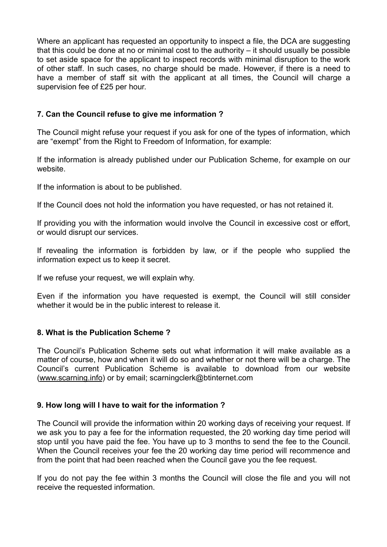Where an applicant has requested an opportunity to inspect a file, the DCA are suggesting that this could be done at no or minimal cost to the authority – it should usually be possible to set aside space for the applicant to inspect records with minimal disruption to the work of other staff. In such cases, no charge should be made. However, if there is a need to have a member of staff sit with the applicant at all times, the Council will charge a supervision fee of £25 per hour.

# **7. Can the Council refuse to give me information ?**

The Council might refuse your request if you ask for one of the types of information, which are "exempt" from the Right to Freedom of Information, for example:

If the information is already published under our Publication Scheme, for example on our website.

If the information is about to be published.

If the Council does not hold the information you have requested, or has not retained it.

If providing you with the information would involve the Council in excessive cost or effort, or would disrupt our services.

If revealing the information is forbidden by law, or if the people who supplied the information expect us to keep it secret.

If we refuse your request, we will explain why.

Even if the information you have requested is exempt, the Council will still consider whether it would be in the public interest to release it.

# **8. What is the Publication Scheme ?**

The Council's Publication Scheme sets out what information it will make available as a matter of course, how and when it will do so and whether or not there will be a charge. The Council's current Publication Scheme is available to download from our website ([www.scarning.info](http://www.scarning.info)) or by email; scarningclerk@btinternet.com

# **9. How long will I have to wait for the information ?**

The Council will provide the information within 20 working days of receiving your request. If we ask you to pay a fee for the information requested, the 20 working day time period will stop until you have paid the fee. You have up to 3 months to send the fee to the Council. When the Council receives your fee the 20 working day time period will recommence and from the point that had been reached when the Council gave you the fee request.

If you do not pay the fee within 3 months the Council will close the file and you will not receive the requested information.